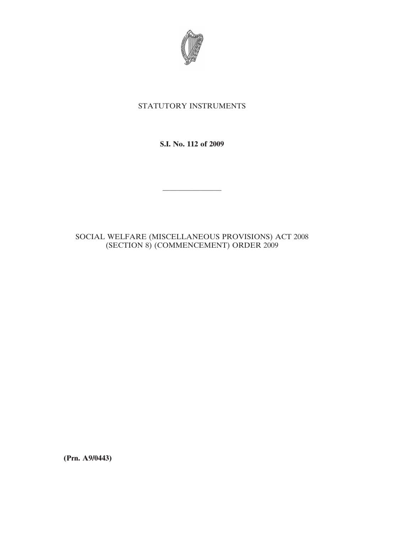

## STATUTORY INSTRUMENTS

**S.I. No. 112 of 2009**

————————

## SOCIAL WELFARE (MISCELLANEOUS PROVISIONS) ACT 2008 (SECTION 8) (COMMENCEMENT) ORDER 2009

**(Prn. A9/0443)**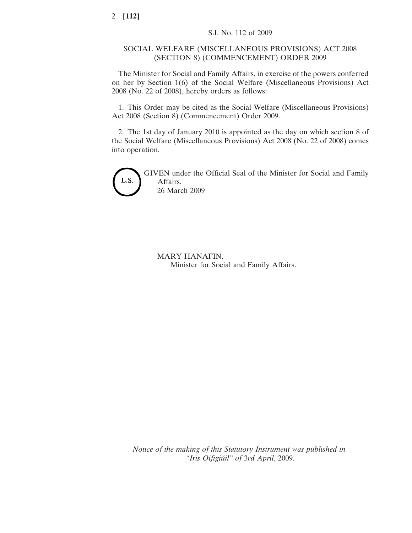## SOCIAL WELFARE (MISCELLANEOUS PROVISIONS) ACT 2008 (SECTION 8) (COMMENCEMENT) ORDER 2009

The Minister for Social and Family Affairs, in exercise of the powers conferred on her by Section 1(6) of the Social Welfare (Miscellaneous Provisions) Act 2008 (No. 22 of 2008), hereby orders as follows:

1. This Order may be cited as the Social Welfare (Miscellaneous Provisions) Act 2008 (Section 8) (Commencement) Order 2009.

2. The 1st day of January 2010 is appointed as the day on which section 8 of the Social Welfare (Miscellaneous Provisions) Act 2008 (No. 22 of 2008) comes into operation.



GIVEN under the Official Seal of the Minister for Social and Family Affairs, 26 March 2009

MARY HANAFIN. Minister for Social and Family Affairs.

*Notice of the making of this Statutory Instrument was published in "Iris Oifigiu´il" of* 3*rd April*, 2009.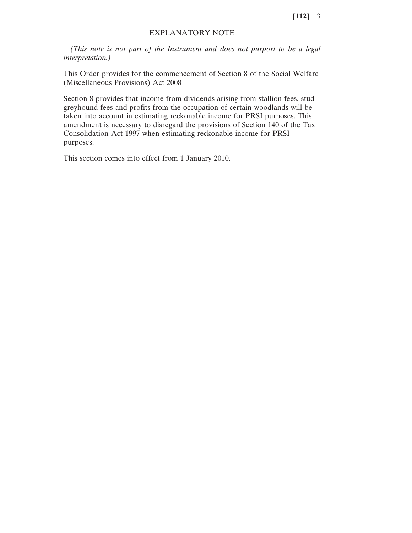## EXPLANATORY NOTE

*(This note is not part of the Instrument and does not purport to be a legal interpretation.)*

This Order provides for the commencement of Section 8 of the Social Welfare (Miscellaneous Provisions) Act 2008

Section 8 provides that income from dividends arising from stallion fees, stud greyhound fees and profits from the occupation of certain woodlands will be taken into account in estimating reckonable income for PRSI purposes. This amendment is necessary to disregard the provisions of Section 140 of the Tax Consolidation Act 1997 when estimating reckonable income for PRSI purposes.

This section comes into effect from 1 January 2010.